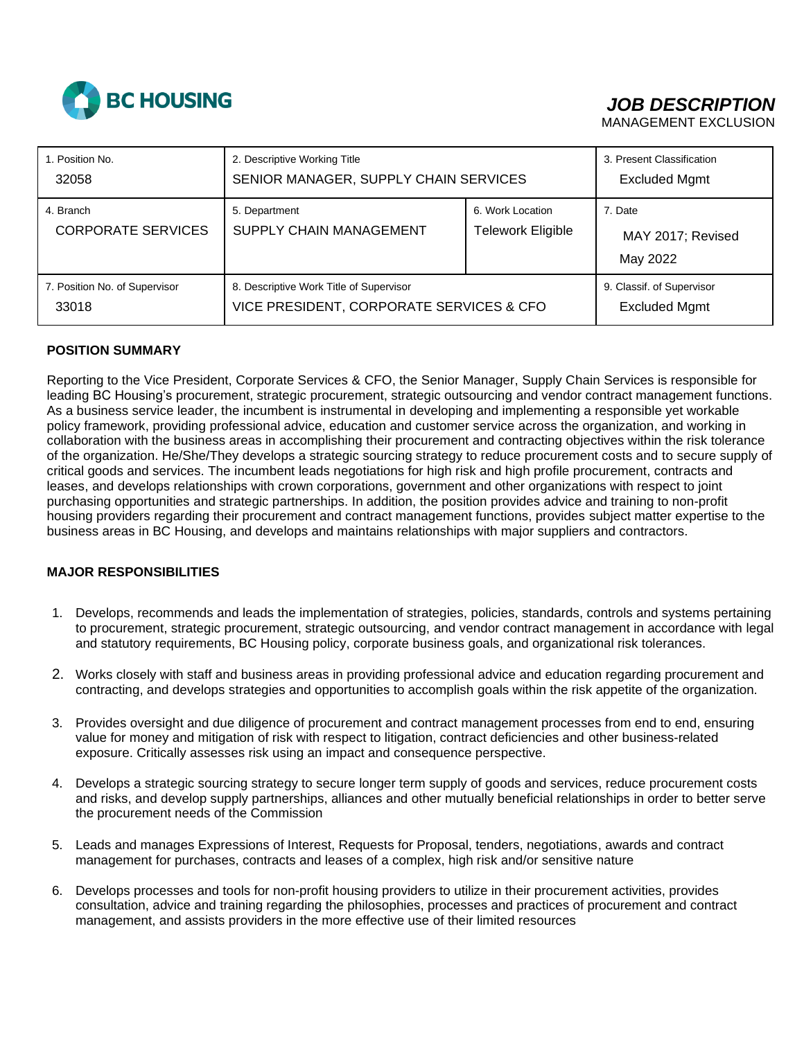

# *JOB DESCRIPTION*

MANAGEMENT EXCLUSION

| 1. Position No.                        | 2. Descriptive Working Title                    |                                       | 3. Present Classification                |
|----------------------------------------|-------------------------------------------------|---------------------------------------|------------------------------------------|
| 32058                                  | SENIOR MANAGER, SUPPLY CHAIN SERVICES           |                                       | <b>Excluded Mgmt</b>                     |
| 4. Branch<br><b>CORPORATE SERVICES</b> | 5. Department<br><b>SUPPLY CHAIN MANAGEMENT</b> | 6. Work Location<br>Telework Eligible | 7. Date<br>MAY 2017; Revised<br>May 2022 |
| 7. Position No. of Supervisor          | 8. Descriptive Work Title of Supervisor         |                                       | 9. Classif. of Supervisor                |
| 33018                                  | VICE PRESIDENT, CORPORATE SERVICES & CFO        |                                       | <b>Excluded Mgmt</b>                     |

## **POSITION SUMMARY**

Reporting to the Vice President, Corporate Services & CFO, the Senior Manager, Supply Chain Services is responsible for leading BC Housing's procurement, strategic procurement, strategic outsourcing and vendor contract management functions. As a business service leader, the incumbent is instrumental in developing and implementing a responsible yet workable policy framework, providing professional advice, education and customer service across the organization, and working in collaboration with the business areas in accomplishing their procurement and contracting objectives within the risk tolerance of the organization. He/She/They develops a strategic sourcing strategy to reduce procurement costs and to secure supply of critical goods and services. The incumbent leads negotiations for high risk and high profile procurement, contracts and leases, and develops relationships with crown corporations, government and other organizations with respect to joint purchasing opportunities and strategic partnerships. In addition, the position provides advice and training to non-profit housing providers regarding their procurement and contract management functions, provides subject matter expertise to the business areas in BC Housing, and develops and maintains relationships with major suppliers and contractors.

## **MAJOR RESPONSIBILITIES**

- 1. Develops, recommends and leads the implementation of strategies, policies, standards, controls and systems pertaining to procurement, strategic procurement, strategic outsourcing, and vendor contract management in accordance with legal and statutory requirements, BC Housing policy, corporate business goals, and organizational risk tolerances.
- 2. Works closely with staff and business areas in providing professional advice and education regarding procurement and contracting, and develops strategies and opportunities to accomplish goals within the risk appetite of the organization.
- 3. Provides oversight and due diligence of procurement and contract management processes from end to end, ensuring value for money and mitigation of risk with respect to litigation, contract deficiencies and other business-related exposure. Critically assesses risk using an impact and consequence perspective.
- 4. Develops a strategic sourcing strategy to secure longer term supply of goods and services, reduce procurement costs and risks, and develop supply partnerships, alliances and other mutually beneficial relationships in order to better serve the procurement needs of the Commission
- 5. Leads and manages Expressions of Interest, Requests for Proposal, tenders, negotiations, awards and contract management for purchases, contracts and leases of a complex, high risk and/or sensitive nature
- 6. Develops processes and tools for non-profit housing providers to utilize in their procurement activities, provides consultation, advice and training regarding the philosophies, processes and practices of procurement and contract management, and assists providers in the more effective use of their limited resources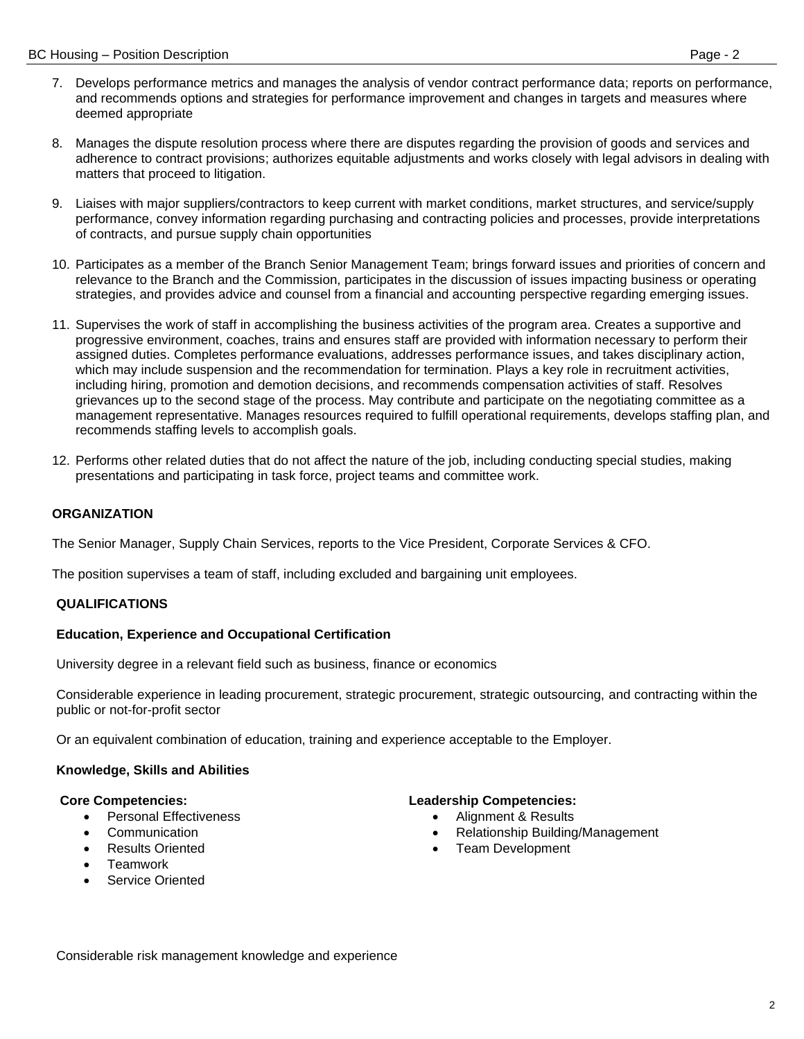- 7. Develops performance metrics and manages the analysis of vendor contract performance data; reports on performance, and recommends options and strategies for performance improvement and changes in targets and measures where deemed appropriate
- 8. Manages the dispute resolution process where there are disputes regarding the provision of goods and services and adherence to contract provisions; authorizes equitable adjustments and works closely with legal advisors in dealing with matters that proceed to litigation.
- 9. Liaises with major suppliers/contractors to keep current with market conditions, market structures, and service/supply performance, convey information regarding purchasing and contracting policies and processes, provide interpretations of contracts, and pursue supply chain opportunities
- 10. Participates as a member of the Branch Senior Management Team; brings forward issues and priorities of concern and relevance to the Branch and the Commission, participates in the discussion of issues impacting business or operating strategies, and provides advice and counsel from a financial and accounting perspective regarding emerging issues.
- 11. Supervises the work of staff in accomplishing the business activities of the program area. Creates a supportive and progressive environment, coaches, trains and ensures staff are provided with information necessary to perform their assigned duties. Completes performance evaluations, addresses performance issues, and takes disciplinary action, which may include suspension and the recommendation for termination. Plays a key role in recruitment activities, including hiring, promotion and demotion decisions, and recommends compensation activities of staff. Resolves grievances up to the second stage of the process. May contribute and participate on the negotiating committee as a management representative. Manages resources required to fulfill operational requirements, develops staffing plan, and recommends staffing levels to accomplish goals.
- 12. Performs other related duties that do not affect the nature of the job, including conducting special studies, making presentations and participating in task force, project teams and committee work.

## **ORGANIZATION**

The Senior Manager, Supply Chain Services, reports to the Vice President, Corporate Services & CFO.

The position supervises a team of staff, including excluded and bargaining unit employees.

### **QUALIFICATIONS**

### **Education, Experience and Occupational Certification**

University degree in a relevant field such as business, finance or economics

Considerable experience in leading procurement, strategic procurement, strategic outsourcing, and contracting within the public or not-for-profit sector

Or an equivalent combination of education, training and experience acceptable to the Employer.

## **Knowledge, Skills and Abilities**

#### **Core Competencies:**

- Personal Effectiveness
- Communication
- Results Oriented
- **Teamwork**
- Service Oriented

### **Leadership Competencies:**

- Alignment & Results
- Relationship Building/Management
- Team Development

Considerable risk management knowledge and experience